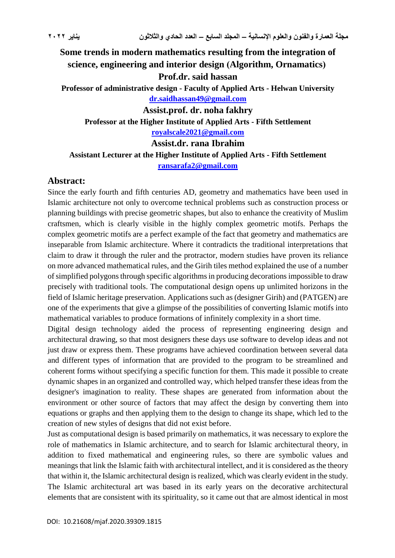**Some trends in modern mathematics resulting from the integration of**  science, engineering and interior design (Algorithm, Ornamatics) **Prof.dr. said hassan Professor of administrative design - Faculty of Applied Arts - Helwan University [dr.saidhassan49@gmail.com](mailto:dr.saidhassan49@gmail.com) Assist.prof. dr. noha fakhry Professor at the Higher Institute of Applied Arts - Fifth Settlement [royalscale2021@gmail.com](mailto:royalscale2021@gmail.com) Assist.dr. rana Ibrahim Assistant Lecturer at the Higher Institute of Applied Arts - Fifth Settlement**

**[ransarafa2@gmail.com](mailto:ransarafa2@gmail.com)**

#### **Abstract:**

Since the early fourth and fifth centuries AD, geometry and mathematics have been used in Islamic architecture not only to overcome technical problems such as construction process or planning buildings with precise geometric shapes, but also to enhance the creativity of Muslim craftsmen, which is clearly visible in the highly complex geometric motifs. Perhaps the complex geometric motifs are a perfect example of the fact that geometry and mathematics are inseparable from Islamic architecture. Where it contradicts the traditional interpretations that claim to draw it through the ruler and the protractor, modern studies have proven its reliance on more advanced mathematical rules, and the Girih tiles method explained the use of a number of simplified polygons through specific algorithms in producing decorations impossible to draw precisely with traditional tools. The computational design opens up unlimited horizons in the field of Islamic heritage preservation. Applications such as (designer Girih) and (PATGEN) are one of the experiments that give a glimpse of the possibilities of converting Islamic motifs into mathematical variables to produce formations of infinitely complexity in a short time.

Digital design technology aided the process of representing engineering design and architectural drawing, so that most designers these days use software to develop ideas and not just draw or express them. These programs have achieved coordination between several data and different types of information that are provided to the program to be streamlined and coherent forms without specifying a specific function for them. This made it possible to create dynamic shapes in an organized and controlled way, which helped transfer these ideas from the designer's imagination to reality. These shapes are generated from information about the environment or other source of factors that may affect the design by converting them into equations or graphs and then applying them to the design to change its shape, which led to the creation of new styles of designs that did not exist before.

Just as computational design is based primarily on mathematics, it was necessary to explore the role of mathematics in Islamic architecture, and to search for Islamic architectural theory, in addition to fixed mathematical and engineering rules, so there are symbolic values and meanings that link the Islamic faith with architectural intellect, and it is considered as the theory that within it, the Islamic architectural design is realized, which was clearly evident in the study. The Islamic architectural art was based in its early years on the decorative architectural elements that are consistent with its spirituality, so it came out that are almost identical in most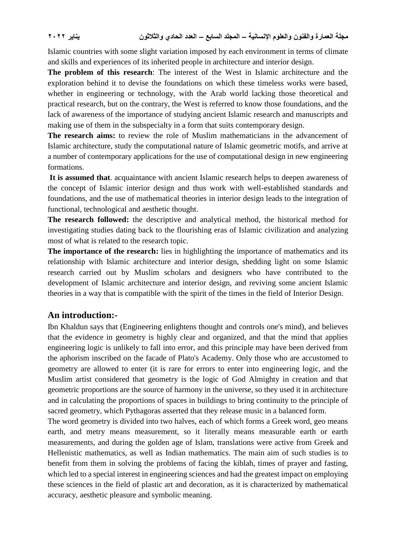Islamic countries with some slight variation imposed by each environment in terms of climate and skills and experiences of its inherited people in architecture and interior design.

**The problem of this research**: The interest of the West in Islamic architecture and the exploration behind it to devise the foundations on which these timeless works were based, whether in engineering or technology, with the Arab world lacking those theoretical and practical research, but on the contrary, the West is referred to know those foundations, and the lack of awareness of the importance of studying ancient Islamic research and manuscripts and making use of them in the subspecialty in a form that suits contemporary design.

**The research aims:** to review the role of Muslim mathematicians in the advancement of Islamic architecture, study the computational nature of Islamic geometric motifs, and arrive at a number of contemporary applications for the use of computational design in new engineering formations.

**It is assumed that**. acquaintance with ancient Islamic research helps to deepen awareness of the concept of Islamic interior design and thus work with well-established standards and foundations, and the use of mathematical theories in interior design leads to the integration of functional, technological and aesthetic thought.

**The research followed:** the descriptive and analytical method, the historical method for investigating studies dating back to the flourishing eras of Islamic civilization and analyzing most of what is related to the research topic.

**The importance of the research:** lies in highlighting the importance of mathematics and its relationship with Islamic architecture and interior design, shedding light on some Islamic research carried out by Muslim scholars and designers who have contributed to the development of Islamic architecture and interior design, and reviving some ancient Islamic theories in a way that is compatible with the spirit of the times in the field of Interior Design.

#### **An introduction:-**

Ibn Khaldun says that (Engineering enlightens thought and controls one's mind), and believes that the evidence in geometry is highly clear and organized, and that the mind that applies engineering logic is unlikely to fall into error, and this principle may have been derived from the aphorism inscribed on the facade of Plato's Academy. Only those who are accustomed to geometry are allowed to enter (it is rare for errors to enter into engineering logic, and the Muslim artist considered that geometry is the logic of God Almighty in creation and that geometric proportions are the source of harmony in the universe, so they used it in architecture and in calculating the proportions of spaces in buildings to bring continuity to the principle of sacred geometry, which Pythagoras asserted that they release music in a balanced form.

The word geometry is divided into two halves, each of which forms a Greek word, geo means earth, and metry means measurement, so it literally means measurable earth or earth measurements, and during the golden age of Islam, translations were active from Greek and Hellenistic mathematics, as well as Indian mathematics. The main aim of such studies is to benefit from them in solving the problems of facing the kiblah, times of prayer and fasting, which led to a special interest in engineering sciences and had the greatest impact on employing these sciences in the field of plastic art and decoration, as it is characterized by mathematical accuracy, aesthetic pleasure and symbolic meaning.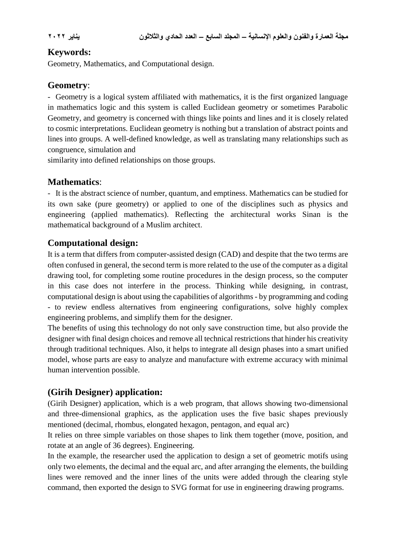#### **Keywords:**

Geometry, Mathematics, and Computational design.

# **Geometry**:

- Geometry is a logical system affiliated with mathematics, it is the first organized language in mathematics logic and this system is called Euclidean geometry or sometimes Parabolic Geometry, and geometry is concerned with things like points and lines and it is closely related to cosmic interpretations. Euclidean geometry is nothing but a translation of abstract points and lines into groups. A well-defined knowledge, as well as translating many relationships such as congruence, simulation and

similarity into defined relationships on those groups.

# **Mathematics**:

- It is the abstract science of number, quantum, and emptiness. Mathematics can be studied for its own sake (pure geometry) or applied to one of the disciplines such as physics and engineering (applied mathematics). Reflecting the architectural works Sinan is the mathematical background of a Muslim architect.

### **Computational design:**

It is a term that differs from computer-assisted design (CAD) and despite that the two terms are often confused in general, the second term is more related to the use of the computer as a digital drawing tool, for completing some routine procedures in the design process, so the computer in this case does not interfere in the process. Thinking while designing, in contrast, computational design is about using the capabilities of algorithms - by programming and coding - to review endless alternatives from engineering configurations, solve highly complex engineering problems, and simplify them for the designer.

The benefits of using this technology do not only save construction time, but also provide the designer with final design choices and remove all technical restrictions that hinder his creativity through traditional techniques. Also, it helps to integrate all design phases into a smart unified model, whose parts are easy to analyze and manufacture with extreme accuracy with minimal human intervention possible.

# **(Girih Designer) application:**

(Girih Designer) application, which is a web program, that allows showing two-dimensional and three-dimensional graphics, as the application uses the five basic shapes previously mentioned (decimal, rhombus, elongated hexagon, pentagon, and equal arc)

It relies on three simple variables on those shapes to link them together (move, position, and rotate at an angle of 36 degrees). Engineering.

In the example, the researcher used the application to design a set of geometric motifs using only two elements, the decimal and the equal arc, and after arranging the elements, the building lines were removed and the inner lines of the units were added through the clearing style command, then exported the design to SVG format for use in engineering drawing programs.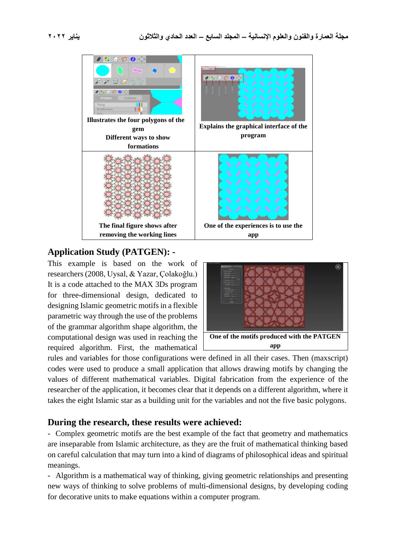

#### **Application Study (PATGEN): -**

This example is based on the work of researchers (2008, Uysal, & Yazar, Çolakoğlu.) It is a code attached to the MAX 3Ds program for three-dimensional design, dedicated to designing Islamic geometric motifs in a flexible parametric way through the use of the problems of the grammar algorithm shape algorithm, the computational design was used in reaching the required algorithm. First, the mathematical



rules and variables for those configurations were defined in all their cases. Then (maxscript) codes were used to produce a small application that allows drawing motifs by changing the values of different mathematical variables. Digital fabrication from the experience of the researcher of the application, it becomes clear that it depends on a different algorithm, where it takes the eight Islamic star as a building unit for the variables and not the five basic polygons.

#### **During the research, these results were achieved:**

- Complex geometric motifs are the best example of the fact that geometry and mathematics are inseparable from Islamic architecture, as they are the fruit of mathematical thinking based on careful calculation that may turn into a kind of diagrams of philosophical ideas and spiritual meanings.

- Algorithm is a mathematical way of thinking, giving geometric relationships and presenting new ways of thinking to solve problems of multi-dimensional designs, by developing coding for decorative units to make equations within a computer program.